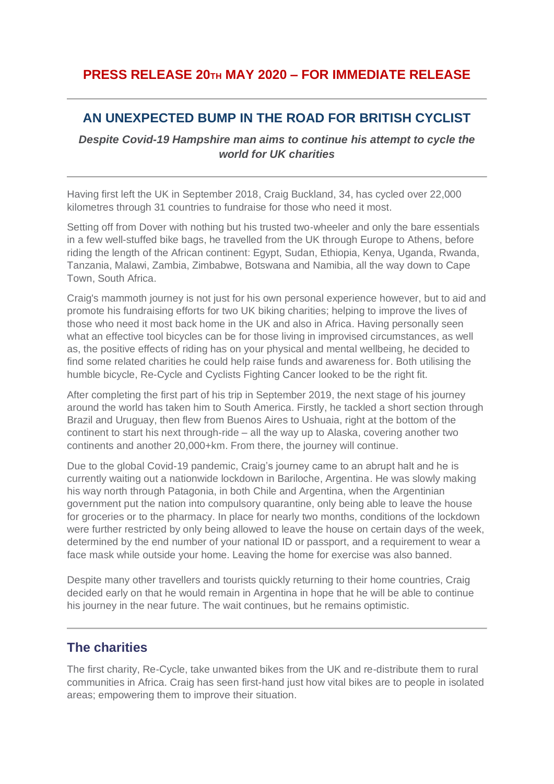## **PRESS RELEASE 20TH MAY 2020 – FOR IMMEDIATE RELEASE**

# **AN UNEXPECTED BUMP IN THE ROAD FOR BRITISH CYCLIST**

*Despite Covid-19 Hampshire man aims to continue his attempt to cycle the world for UK charities*

Having first left the UK in September 2018, Craig Buckland, 34, has cycled over 22,000 kilometres through 31 countries to fundraise for those who need it most.

Setting off from Dover with nothing but his trusted two-wheeler and only the bare essentials in a few well-stuffed bike bags, he travelled from the UK through Europe to Athens, before riding the length of the African continent: Egypt, Sudan, Ethiopia, Kenya, Uganda, Rwanda, Tanzania, Malawi, Zambia, Zimbabwe, Botswana and Namibia, all the way down to Cape Town, South Africa.

Craig's mammoth journey is not just for his own personal experience however, but to aid and promote his fundraising efforts for two UK biking charities; helping to improve the lives of those who need it most back home in the UK and also in Africa. Having personally seen what an effective tool bicycles can be for those living in improvised circumstances, as well as, the positive effects of riding has on your physical and mental wellbeing, he decided to find some related charities he could help raise funds and awareness for. Both utilising the humble bicycle, Re-Cycle and Cyclists Fighting Cancer looked to be the right fit.

After completing the first part of his trip in September 2019, the next stage of his journey around the world has taken him to South America. Firstly, he tackled a short section through Brazil and Uruguay, then flew from Buenos Aires to Ushuaia, right at the bottom of the continent to start his next through-ride – all the way up to Alaska, covering another two continents and another 20,000+km. From there, the journey will continue.

Due to the global Covid-19 pandemic, Craig's journey came to an abrupt halt and he is currently waiting out a nationwide lockdown in Bariloche, Argentina. He was slowly making his way north through Patagonia, in both Chile and Argentina, when the Argentinian government put the nation into compulsory quarantine, only being able to leave the house for groceries or to the pharmacy. In place for nearly two months, conditions of the lockdown were further restricted by only being allowed to leave the house on certain days of the week, determined by the end number of your national ID or passport, and a requirement to wear a face mask while outside your home. Leaving the home for exercise was also banned.

Despite many other travellers and tourists quickly returning to their home countries, Craig decided early on that he would remain in Argentina in hope that he will be able to continue his journey in the near future. The wait continues, but he remains optimistic.

### **The charities**

The first charity, Re-Cycle, take unwanted bikes from the UK and re-distribute them to rural communities in Africa. Craig has seen first-hand just how vital bikes are to people in isolated areas; empowering them to improve their situation.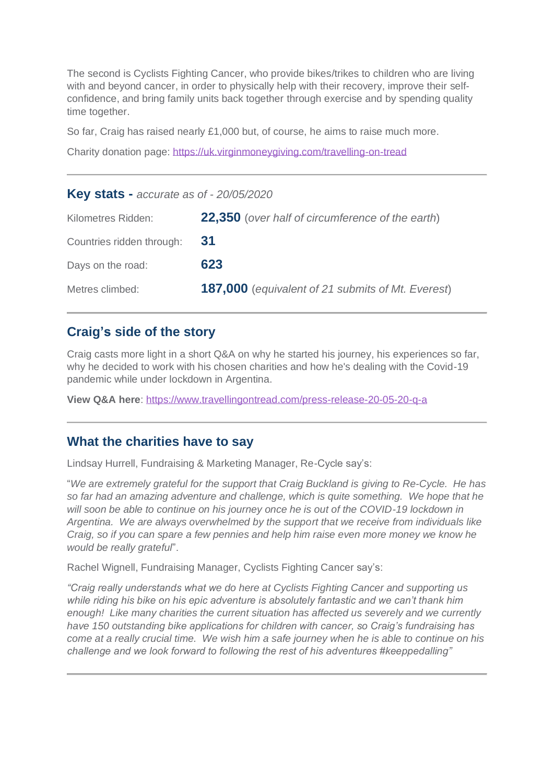The second is Cyclists Fighting Cancer, who provide bikes/trikes to children who are living with and beyond cancer, in order to physically help with their recovery, improve their selfconfidence, and bring family units back together through exercise and by spending quality time together.

So far, Craig has raised nearly £1,000 but, of course, he aims to raise much more.

Charity donation page:<https://uk.virginmoneygiving.com/travelling-on-tread>

| <b>Key stats - accurate as of - 20/05/2020</b> |                                                          |
|------------------------------------------------|----------------------------------------------------------|
| Kilometres Ridden:                             | <b>22,350</b> (over half of circumference of the earth)  |
| Countries ridden through:                      | <b>31</b>                                                |
| Days on the road:                              | 623                                                      |
| Metres climbed:                                | <b>187,000</b> (equivalent of 21 submits of Mt. Everest) |

### **Craig's side of the story**

Craig casts more light in a short Q&A on why he started his journey, his experiences so far, why he decided to work with his chosen charities and how he's dealing with the Covid-19 pandemic while under lockdown in Argentina.

**View Q&A here**:<https://www.travellingontread.com/press-release-20-05-20-q-a>

#### **What the charities have to say**

Lindsay Hurrell, Fundraising & Marketing Manager, Re-Cycle say's:

"*We are extremely grateful for the support that Craig Buckland is giving to Re-Cycle. He has so far had an amazing adventure and challenge, which is quite something. We hope that he will soon be able to continue on his journey once he is out of the COVID-19 lockdown in Argentina. We are always overwhelmed by the support that we receive from individuals like Craig, so if you can spare a few pennies and help him raise even more money we know he would be really grateful*".

Rachel Wignell, Fundraising Manager, Cyclists Fighting Cancer say's:

*"Craig really understands what we do here at Cyclists Fighting Cancer and supporting us while riding his bike on his epic adventure is absolutely fantastic and we can't thank him enough! Like many charities the current situation has affected us severely and we currently have 150 outstanding bike applications for children with cancer, so Craig's fundraising has come at a really crucial time. We wish him a safe journey when he is able to continue on his challenge and we look forward to following the rest of his adventures #keeppedalling"*